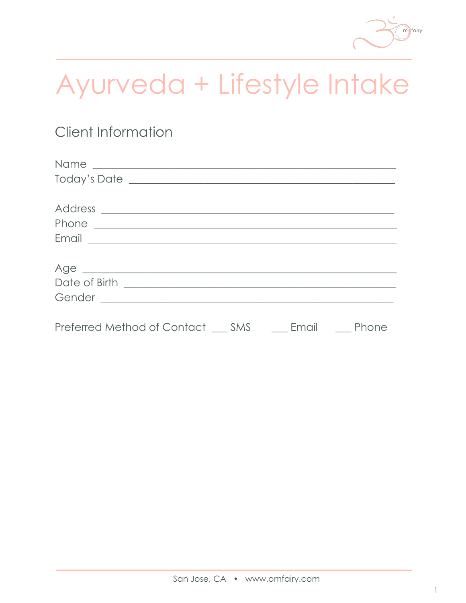

# Ayurveda + Lifestyle Intake

# **Client Information**

| Today's Date Lawrence and the Community of the Community of the Community of the Community of the Community of Technical Section 1, and the Community of the Community of the Community of the Community of the Community of t |       |              |
|--------------------------------------------------------------------------------------------------------------------------------------------------------------------------------------------------------------------------------|-------|--------------|
|                                                                                                                                                                                                                                |       |              |
|                                                                                                                                                                                                                                |       |              |
|                                                                                                                                                                                                                                |       |              |
|                                                                                                                                                                                                                                |       |              |
|                                                                                                                                                                                                                                |       |              |
| Age expression and the state of the state of the state of the state of the state of the state of the state of the state of the state of the state of the state of the state of the state of the state of the state of the stat |       |              |
|                                                                                                                                                                                                                                |       |              |
|                                                                                                                                                                                                                                |       |              |
|                                                                                                                                                                                                                                |       |              |
| Preferred Method of Contact SMS                                                                                                                                                                                                | Email | <b>Phone</b> |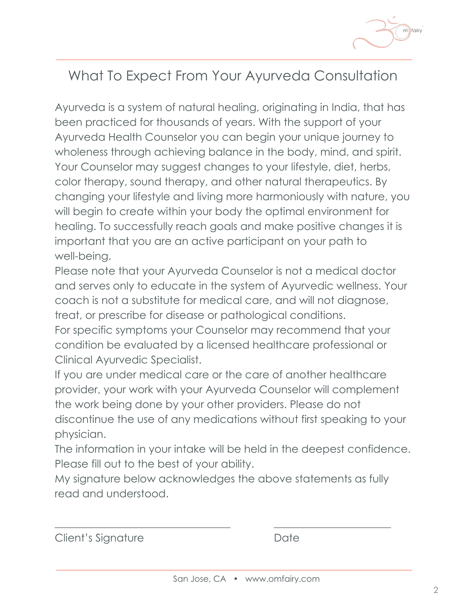

# What To Expect From Your Ayurveda Consultation

Ayurveda is a system of natural healing, originating in India, that has been practiced for thousands of years. With the support of your Ayurveda Health Counselor you can begin your unique journey to wholeness through achieving balance in the body, mind, and spirit. Your Counselor may suggest changes to your lifestyle, diet, herbs, color therapy, sound therapy, and other natural therapeutics. By changing your lifestyle and living more harmoniously with nature, you will begin to create within your body the optimal environment for healing. To successfully reach goals and make positive changes it is important that you are an active participant on your path to well-being.

Please note that your Ayurveda Counselor is not a medical doctor and serves only to educate in the system of Ayurvedic wellness. Your coach is not a substitute for medical care, and will not diagnose, treat, or prescribe for disease or pathological conditions.

For specific symptoms your Counselor may recommend that your condition be evaluated by a licensed healthcare professional or Clinical Ayurvedic Specialist.

If you are under medical care or the care of another healthcare provider, your work with your Ayurveda Counselor will complement the work being done by your other providers. Please do not discontinue the use of any medications without first speaking to your physician.

The information in your intake will be held in the deepest confidence. Please fill out to the best of your ability.

My signature below acknowledges the above statements as fully read and understood.

\_\_\_\_\_\_\_\_\_\_\_\_\_\_\_\_\_\_\_\_\_\_\_\_\_\_\_\_\_\_\_\_\_ \_\_\_\_\_\_\_\_\_\_\_\_\_\_\_\_\_\_\_\_\_\_

Client's Signature Date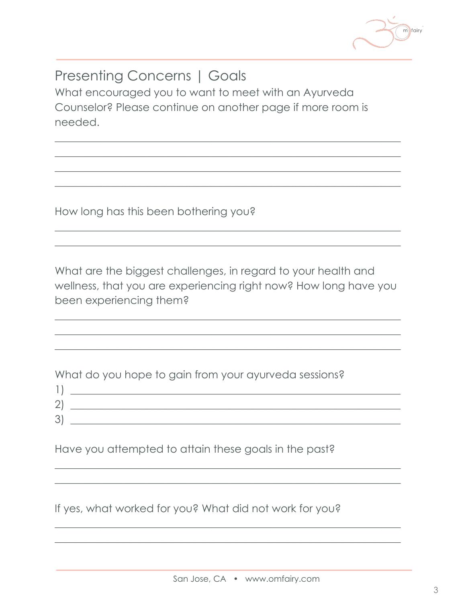

# **Presenting Concerns | Goals**

What encouraged you to want to meet with an Ayurveda Counselor? Please continue on another page if more room is needed.

How long has this been bothering you?

 $1<sub>1</sub>$ 

What are the biggest challenges, in regard to your health and wellness, that you are experiencing right now? How long have you been experiencing them?

What do you hope to gain from your ayurveda sessions?

| -      |  |
|--------|--|
| $\sim$ |  |
| ◡      |  |

Have you attempted to attain these goals in the past?

If yes, what worked for you? What did not work for you?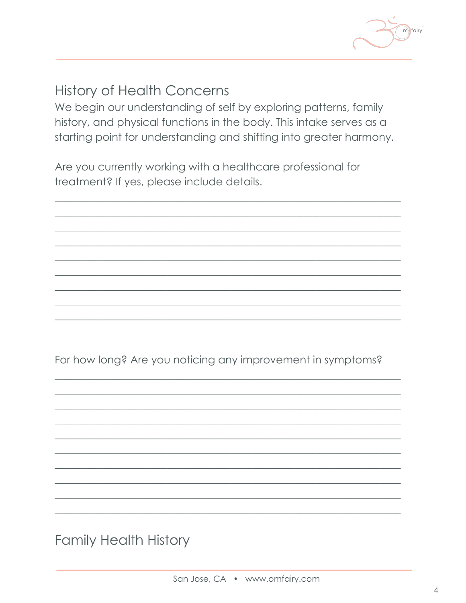

# **History of Health Concerns**

We begin our understanding of self by exploring patterns, family history, and physical functions in the body. This intake serves as a starting point for understanding and shifting into greater harmony.

Are you currently working with a healthcare professional for treatment? If yes, please include details.

For how long? Are you noticing any improvement in symptoms?

**Family Health History**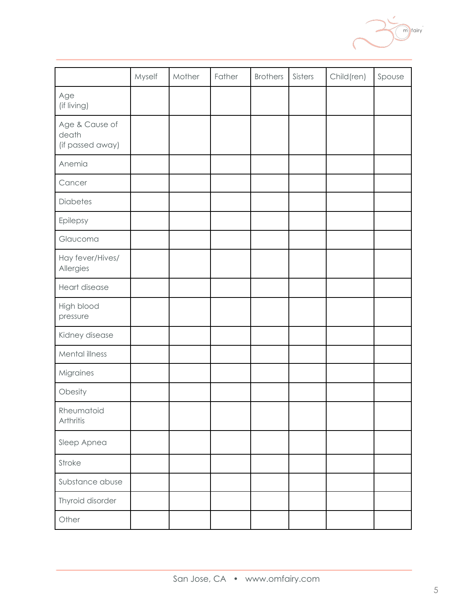|                                             | Myself | Mother | Father | <b>Brothers</b> | Sisters | Child(ren) | Spouse |
|---------------------------------------------|--------|--------|--------|-----------------|---------|------------|--------|
| Age<br>(if living)                          |        |        |        |                 |         |            |        |
| Age & Cause of<br>death<br>(if passed away) |        |        |        |                 |         |            |        |
| Anemia                                      |        |        |        |                 |         |            |        |
| Cancer                                      |        |        |        |                 |         |            |        |
| <b>Diabetes</b>                             |        |        |        |                 |         |            |        |
| Epilepsy                                    |        |        |        |                 |         |            |        |
| Glaucoma                                    |        |        |        |                 |         |            |        |
| Hay fever/Hives/<br>Allergies               |        |        |        |                 |         |            |        |
| Heart disease                               |        |        |        |                 |         |            |        |
| High blood<br>pressure                      |        |        |        |                 |         |            |        |
| Kidney disease                              |        |        |        |                 |         |            |        |
| Mental illness                              |        |        |        |                 |         |            |        |
| Migraines                                   |        |        |        |                 |         |            |        |
| Obesity                                     |        |        |        |                 |         |            |        |
| Rheumatoid<br>Arthritis                     |        |        |        |                 |         |            |        |
| Sleep Apnea                                 |        |        |        |                 |         |            |        |
| Stroke                                      |        |        |        |                 |         |            |        |
| Substance abuse                             |        |        |        |                 |         |            |        |
| Thyroid disorder                            |        |        |        |                 |         |            |        |
| Other                                       |        |        |        |                 |         |            |        |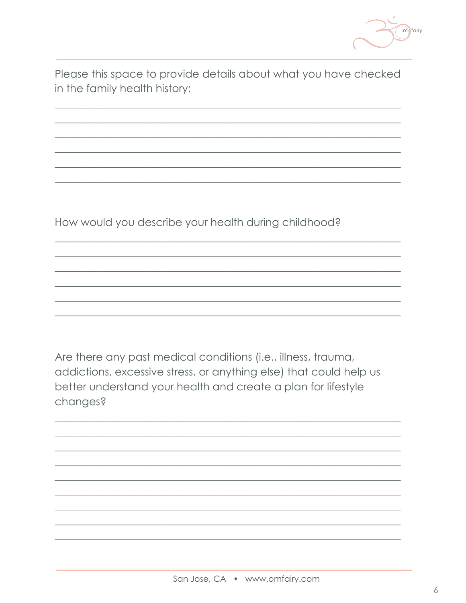

Please this space to provide details about what you have checked in the family health history:

How would you describe your health during childhood?

Are there any past medical conditions (i.e., illness, trauma, addictions, excessive stress, or anything else) that could help us better understand your health and create a plan for lifestyle changes?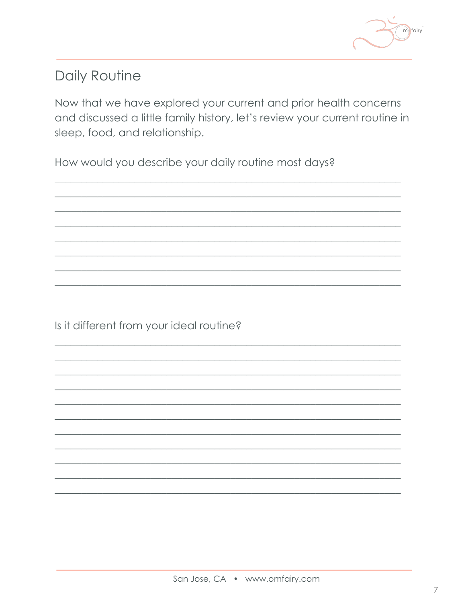

# Daily Routine

Now that we have explored your current and prior health concerns and discussed a little family history, let's review your current routine in sleep, food, and relationship.

How would you describe your daily routine most days?

Is it different from your ideal routine?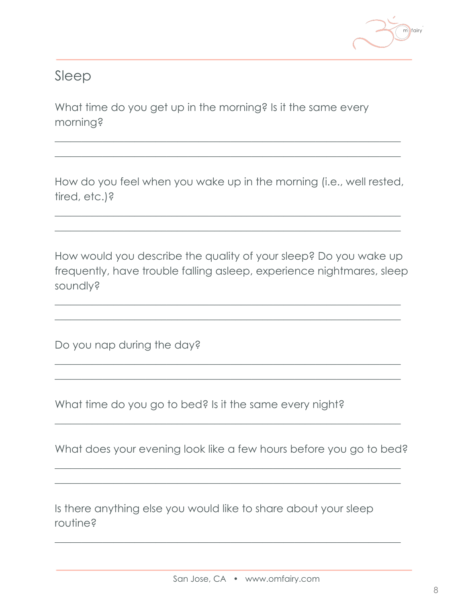

## Sleep

What time do you get up in the morning? Is it the same every morning?

How do you feel when you wake up in the morning (i.e., well rested, tired, etc.)?

 $\frac{1}{2}$  , and the set of the set of the set of the set of the set of the set of the set of the set of the set of the set of the set of the set of the set of the set of the set of the set of the set of the set of the set  $\frac{1}{2}$  , and the set of the set of the set of the set of the set of the set of the set of the set of the set of the set of the set of the set of the set of the set of the set of the set of the set of the set of the set

 $\frac{1}{2}$  , and the set of the set of the set of the set of the set of the set of the set of the set of the set of the set of the set of the set of the set of the set of the set of the set of the set of the set of the set  $\frac{1}{2}$  , and the set of the set of the set of the set of the set of the set of the set of the set of the set of the set of the set of the set of the set of the set of the set of the set of the set of the set of the set

How would you describe the quality of your sleep? Do you wake up frequently, have trouble falling asleep, experience nightmares, sleep soundly?

 $\frac{1}{2}$  , and the set of the set of the set of the set of the set of the set of the set of the set of the set of the set of the set of the set of the set of the set of the set of the set of the set of the set of the set  $\frac{1}{2}$  , and the set of the set of the set of the set of the set of the set of the set of the set of the set of the set of the set of the set of the set of the set of the set of the set of the set of the set of the set

 $\frac{1}{2}$  , and the set of the set of the set of the set of the set of the set of the set of the set of the set of the set of the set of the set of the set of the set of the set of the set of the set of the set of the set  $\frac{1}{2}$  , and the set of the set of the set of the set of the set of the set of the set of the set of the set of the set of the set of the set of the set of the set of the set of the set of the set of the set of the set

Do you nap during the day?

What time do you go to bed? Is it the same every night?

What does your evening look like a few hours before you go to bed?

 $\frac{1}{2}$  , and the set of the set of the set of the set of the set of the set of the set of the set of the set of the set of the set of the set of the set of the set of the set of the set of the set of the set of the set  $\frac{1}{2}$  , and the set of the set of the set of the set of the set of the set of the set of the set of the set of the set of the set of the set of the set of the set of the set of the set of the set of the set of the set

 $\frac{1}{2}$  , and the set of the set of the set of the set of the set of the set of the set of the set of the set of the set of the set of the set of the set of the set of the set of the set of the set of the set of the set

 $\frac{1}{2}$  , and the set of the set of the set of the set of the set of the set of the set of the set of the set of the set of the set of the set of the set of the set of the set of the set of the set of the set of the set

Is there anything else you would like to share about your sleep routine?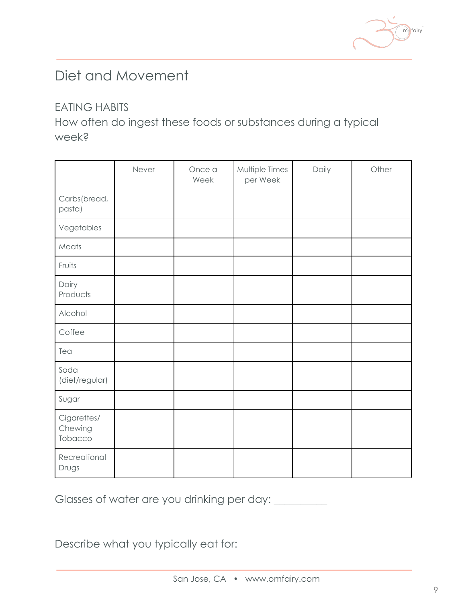

## Diet and Movement

#### EATING HABITS

How often do ingest these foods or substances during a typical week?

|                                   | Never | Once a<br>Week | Multiple Times<br>per Week | Daily | Other |
|-----------------------------------|-------|----------------|----------------------------|-------|-------|
| Carbs(bread,<br>pasta)            |       |                |                            |       |       |
| Vegetables                        |       |                |                            |       |       |
| Meats                             |       |                |                            |       |       |
| Fruits                            |       |                |                            |       |       |
| Dairy<br>Products                 |       |                |                            |       |       |
| Alcohol                           |       |                |                            |       |       |
| Coffee                            |       |                |                            |       |       |
| Tea                               |       |                |                            |       |       |
| Soda<br>(diet/regular)            |       |                |                            |       |       |
| Sugar                             |       |                |                            |       |       |
| Cigarettes/<br>Chewing<br>Tobacco |       |                |                            |       |       |
| Recreational<br>Drugs             |       |                |                            |       |       |

Glasses of water are you drinking per day: \_\_\_\_\_\_\_\_\_

Describe what you typically eat for: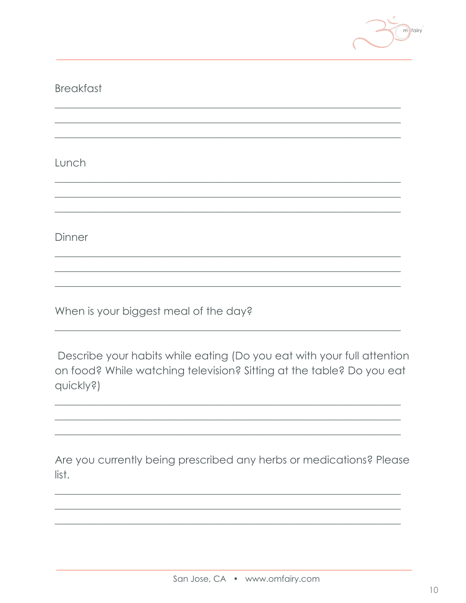

| <b>Breakfast</b> |
|------------------|
|                  |
|                  |

Lunch

Dinner

When is your biggest meal of the day?

Describe your habits while eating (Do you eat with your full attention on food? While watching television? Sitting at the table? Do you eat quickly?)

Are you currently being prescribed any herbs or medications? Please list.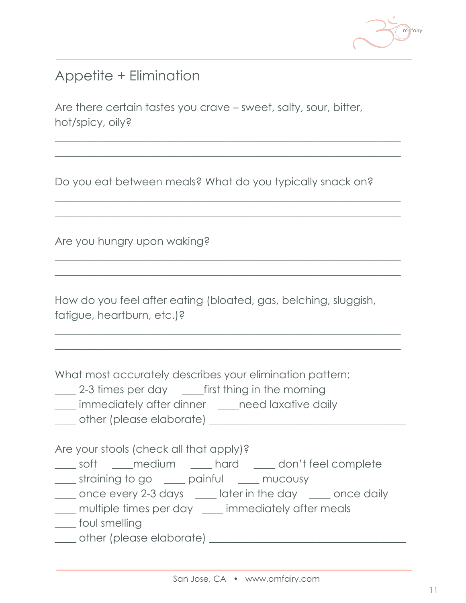

## Appetite + Elimination

Are there certain tastes you crave – sweet, salty, sour, bitter, hot/spicy, oily?

Do you eat between meals? What do you typically snack on?

 $\frac{1}{2}$  , and the set of the set of the set of the set of the set of the set of the set of the set of the set of the set of the set of the set of the set of the set of the set of the set of the set of the set of the set  $\frac{1}{2}$  , and the set of the set of the set of the set of the set of the set of the set of the set of the set of the set of the set of the set of the set of the set of the set of the set of the set of the set of the set

 $\frac{1}{2}$  , and the set of the set of the set of the set of the set of the set of the set of the set of the set of the set of the set of the set of the set of the set of the set of the set of the set of the set of the set  $\frac{1}{2}$  , and the set of the set of the set of the set of the set of the set of the set of the set of the set of the set of the set of the set of the set of the set of the set of the set of the set of the set of the set

 $\frac{1}{2}$  , and the set of the set of the set of the set of the set of the set of the set of the set of the set of the set of the set of the set of the set of the set of the set of the set of the set of the set of the set  $\frac{1}{2}$  , and the set of the set of the set of the set of the set of the set of the set of the set of the set of the set of the set of the set of the set of the set of the set of the set of the set of the set of the set

 $\frac{1}{2}$  , and the set of the set of the set of the set of the set of the set of the set of the set of the set of the set of the set of the set of the set of the set of the set of the set of the set of the set of the set  $\frac{1}{2}$  , and the set of the set of the set of the set of the set of the set of the set of the set of the set of the set of the set of the set of the set of the set of the set of the set of the set of the set of the set

Are you hungry upon waking?

How do you feel after eating (bloated, gas, belching, sluggish, fatigue, heartburn, etc.)?

What most accurately describes your elimination pattern:

- 2-3 times per day <u>first</u> thing in the morning
- \_\_\_\_ immediately after dinner \_\_\_\_need laxative daily
- \_\_\_\_ other (please elaborate) \_\_\_\_\_\_\_\_\_\_\_\_\_\_\_\_\_\_\_\_\_\_\_\_\_\_\_\_\_\_\_\_\_\_\_\_\_

Are your stools (check all that apply)?

- \_\_\_\_ soft \_\_\_\_medium \_\_\_\_ hard \_\_\_\_ don't feel complete
- \_\_\_\_ straining to go \_\_\_\_ painful \_\_\_\_ mucousy
- \_\_\_\_ once every 2-3 days \_\_\_\_ later in the day \_\_\_\_ once daily
- \_\_\_\_ multiple times per day \_\_\_\_ immediately after meals
- \_\_\_\_ foul smelling
- \_\_\_\_ other (please elaborate) \_\_\_\_\_\_\_\_\_\_\_\_\_\_\_\_\_\_\_\_\_\_\_\_\_\_\_\_\_\_\_\_\_\_\_\_\_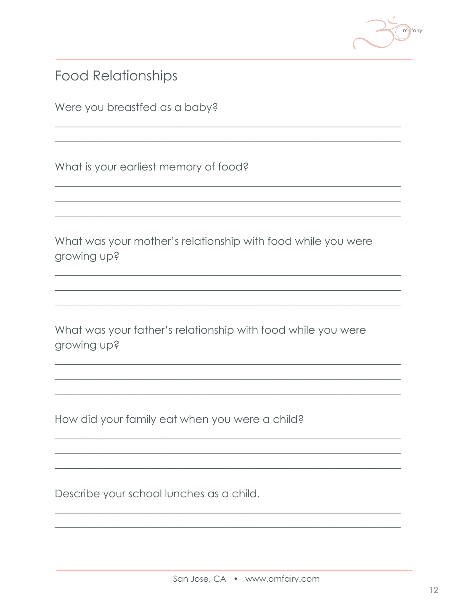

**Food Relationships** 

Were you breastfed as a baby?

What is your earliest memory of food?

What was your mother's relationship with food while you were growing up?

What was your father's relationship with food while you were growing up?

How did your family eat when you were a child?

Describe your school lunches as a child.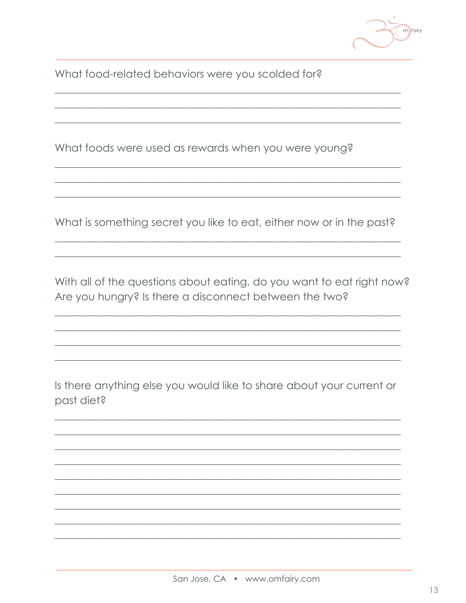$m$  fairy

What food-related behaviors were you scolded for?

What foods were used as rewards when you were young?

What is something secret you like to eat, either now or in the past?

With all of the questions about eating, do you want to eat right now? Are you hungry? Is there a disconnect between the two?

Is there anything else you would like to share about your current or past diet?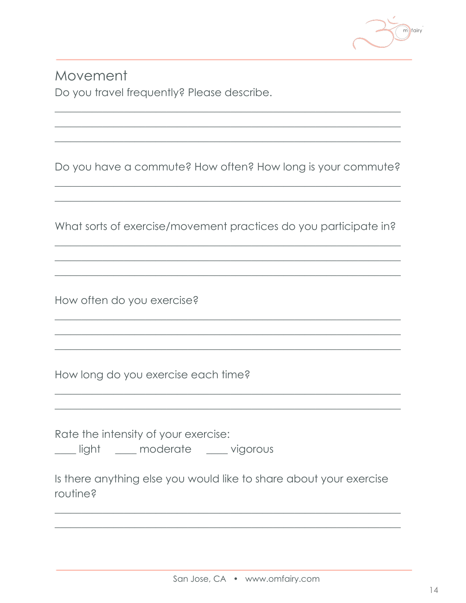

Movement Do you travel frequently? Please describe.

Do you have a commute? How often? How long is your commute?

What sorts of exercise/movement practices do you participate in?

How often do you exercise?

How long do you exercise each time?

Rate the intensity of your exercise: \_\_\_ light \_\_\_\_ moderate \_\_\_\_ vigorous

Is there anything else you would like to share about your exercise routine?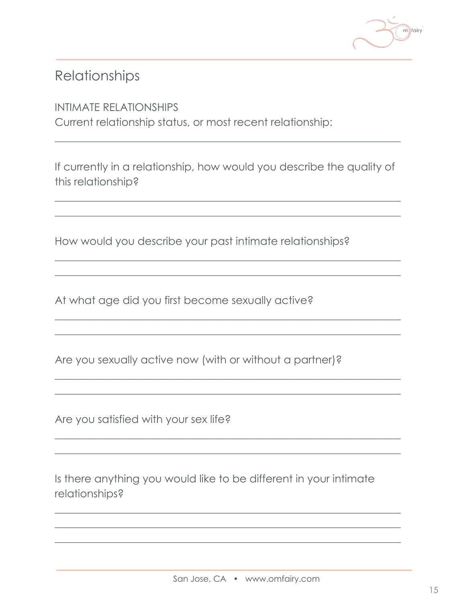

## Relationships

#### INTIMATE RELATIONSHIPS

Current relationship status, or most recent relationship:

If currently in a relationship, how would you describe the quality of this relationship?

 $\frac{1}{2}$  , and the set of the set of the set of the set of the set of the set of the set of the set of the set of the set of the set of the set of the set of the set of the set of the set of the set of the set of the set  $\frac{1}{2}$  , and the set of the set of the set of the set of the set of the set of the set of the set of the set of the set of the set of the set of the set of the set of the set of the set of the set of the set of the set

 $\frac{1}{2}$  , and the set of the set of the set of the set of the set of the set of the set of the set of the set of the set of the set of the set of the set of the set of the set of the set of the set of the set of the set  $\frac{1}{2}$  , and the set of the set of the set of the set of the set of the set of the set of the set of the set of the set of the set of the set of the set of the set of the set of the set of the set of the set of the set

 $\frac{1}{2}$  , and the set of the set of the set of the set of the set of the set of the set of the set of the set of the set of the set of the set of the set of the set of the set of the set of the set of the set of the set  $\frac{1}{2}$  , and the set of the set of the set of the set of the set of the set of the set of the set of the set of the set of the set of the set of the set of the set of the set of the set of the set of the set of the set

 $\frac{1}{2}$  , and the set of the set of the set of the set of the set of the set of the set of the set of the set of the set of the set of the set of the set of the set of the set of the set of the set of the set of the set  $\frac{1}{2}$  , and the set of the set of the set of the set of the set of the set of the set of the set of the set of the set of the set of the set of the set of the set of the set of the set of the set of the set of the set

 $\frac{1}{2}$  , and the set of the set of the set of the set of the set of the set of the set of the set of the set of the set of the set of the set of the set of the set of the set of the set of the set of the set of the set  $\frac{1}{2}$  , and the set of the set of the set of the set of the set of the set of the set of the set of the set of the set of the set of the set of the set of the set of the set of the set of the set of the set of the set

 $\frac{1}{2}$  , and the set of the set of the set of the set of the set of the set of the set of the set of the set of the set of the set of the set of the set of the set of the set of the set of the set of the set of the set  $\frac{1}{2}$  , and the set of the set of the set of the set of the set of the set of the set of the set of the set of the set of the set of the set of the set of the set of the set of the set of the set of the set of the set  $\frac{1}{2}$  , and the set of the set of the set of the set of the set of the set of the set of the set of the set of the set of the set of the set of the set of the set of the set of the set of the set of the set of the set

 $\frac{1}{2}$  , and the set of the set of the set of the set of the set of the set of the set of the set of the set of the set of the set of the set of the set of the set of the set of the set of the set of the set of the set

How would you describe your past intimate relationships?

At what age did you first become sexually active?

Are you sexually active now (with or without a partner)?

Are you satisfied with your sex life?

Is there anything you would like to be different in your intimate relationships?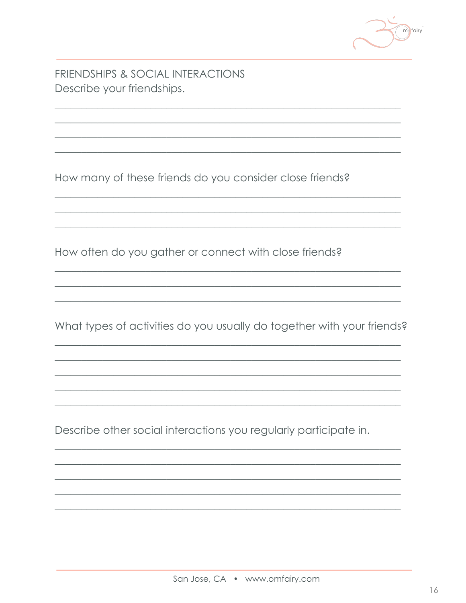

FRIENDSHIPS & SOCIAL INTERACTIONS Describe your friendships.

How many of these friends do you consider close friends?

How often do you gather or connect with close friends?

What types of activities do you usually do together with your friends?

Describe other social interactions you regularly participate in.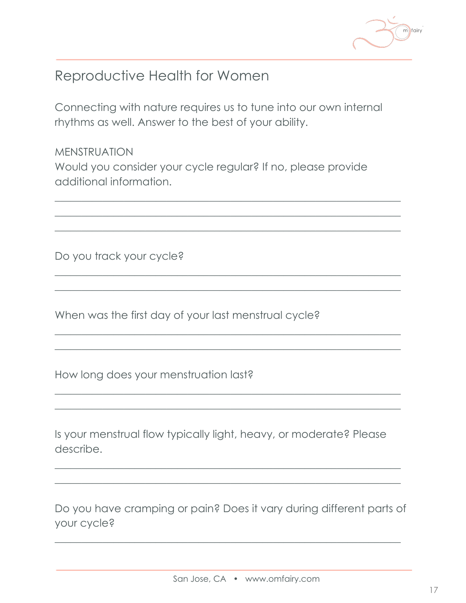

## Reproductive Health for Women

Connecting with nature requires us to tune into our own internal rhythms as well. Answer to the best of your ability.

MENSTRUATION Would you consider your cycle regular? If no, please provide additional information.

 $\frac{1}{2}$  , and the set of the set of the set of the set of the set of the set of the set of the set of the set of the set of the set of the set of the set of the set of the set of the set of the set of the set of the set  $\frac{1}{2}$  , and the set of the set of the set of the set of the set of the set of the set of the set of the set of the set of the set of the set of the set of the set of the set of the set of the set of the set of the set  $\frac{1}{2}$  , and the set of the set of the set of the set of the set of the set of the set of the set of the set of the set of the set of the set of the set of the set of the set of the set of the set of the set of the set

 $\frac{1}{2}$  , and the set of the set of the set of the set of the set of the set of the set of the set of the set of the set of the set of the set of the set of the set of the set of the set of the set of the set of the set  $\frac{1}{2}$  , and the set of the set of the set of the set of the set of the set of the set of the set of the set of the set of the set of the set of the set of the set of the set of the set of the set of the set of the set

 $\frac{1}{2}$  , and the set of the set of the set of the set of the set of the set of the set of the set of the set of the set of the set of the set of the set of the set of the set of the set of the set of the set of the set  $\frac{1}{2}$  , and the set of the set of the set of the set of the set of the set of the set of the set of the set of the set of the set of the set of the set of the set of the set of the set of the set of the set of the set

 $\frac{1}{2}$  , and the set of the set of the set of the set of the set of the set of the set of the set of the set of the set of the set of the set of the set of the set of the set of the set of the set of the set of the set  $\frac{1}{2}$  , and the set of the set of the set of the set of the set of the set of the set of the set of the set of the set of the set of the set of the set of the set of the set of the set of the set of the set of the set

Do you track your cycle?

When was the first day of your last menstrual cycle?

How long does your menstruation last?

Is your menstrual flow typically light, heavy, or moderate? Please describe.

 $\frac{1}{2}$  , and the set of the set of the set of the set of the set of the set of the set of the set of the set of the set of the set of the set of the set of the set of the set of the set of the set of the set of the set  $\frac{1}{2}$  , and the set of the set of the set of the set of the set of the set of the set of the set of the set of the set of the set of the set of the set of the set of the set of the set of the set of the set of the set

Do you have cramping or pain? Does it vary during different parts of your cycle?

 $\frac{1}{2}$  , and the set of the set of the set of the set of the set of the set of the set of the set of the set of the set of the set of the set of the set of the set of the set of the set of the set of the set of the set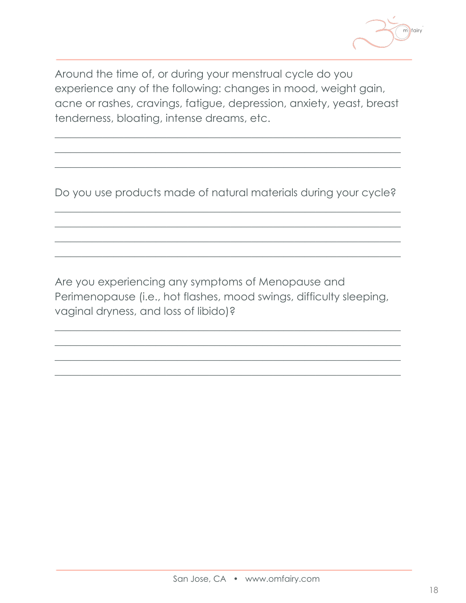

Around the time of, or during your menstrual cycle do you experience any of the following: changes in mood, weight gain, acne or rashes, cravings, fatigue, depression, anxiety, yeast, breast tenderness, bloating, intense dreams, etc.

 $\frac{1}{2}$  , and the set of the set of the set of the set of the set of the set of the set of the set of the set of the set of the set of the set of the set of the set of the set of the set of the set of the set of the set  $\frac{1}{2}$  , and the set of the set of the set of the set of the set of the set of the set of the set of the set of the set of the set of the set of the set of the set of the set of the set of the set of the set of the set  $\frac{1}{2}$  , and the set of the set of the set of the set of the set of the set of the set of the set of the set of the set of the set of the set of the set of the set of the set of the set of the set of the set of the set

Do you use products made of natural materials during your cycle?

 $\frac{1}{2}$  , and the set of the set of the set of the set of the set of the set of the set of the set of the set of the set of the set of the set of the set of the set of the set of the set of the set of the set of the set  $\frac{1}{2}$  , and the set of the set of the set of the set of the set of the set of the set of the set of the set of the set of the set of the set of the set of the set of the set of the set of the set of the set of the set  $\frac{1}{2}$  , and the set of the set of the set of the set of the set of the set of the set of the set of the set of the set of the set of the set of the set of the set of the set of the set of the set of the set of the set  $\frac{1}{2}$  , and the set of the set of the set of the set of the set of the set of the set of the set of the set of the set of the set of the set of the set of the set of the set of the set of the set of the set of the set

Are you experiencing any symptoms of Menopause and Perimenopause (i.e., hot flashes, mood swings, difficulty sleeping, vaginal dryness, and loss of libido)?

 $\frac{1}{2}$  , and the set of the set of the set of the set of the set of the set of the set of the set of the set of the set of the set of the set of the set of the set of the set of the set of the set of the set of the set  $\frac{1}{2}$  , and the set of the set of the set of the set of the set of the set of the set of the set of the set of the set of the set of the set of the set of the set of the set of the set of the set of the set of the set  $\frac{1}{2}$  , and the set of the set of the set of the set of the set of the set of the set of the set of the set of the set of the set of the set of the set of the set of the set of the set of the set of the set of the set  $\frac{1}{2}$  , and the set of the set of the set of the set of the set of the set of the set of the set of the set of the set of the set of the set of the set of the set of the set of the set of the set of the set of the set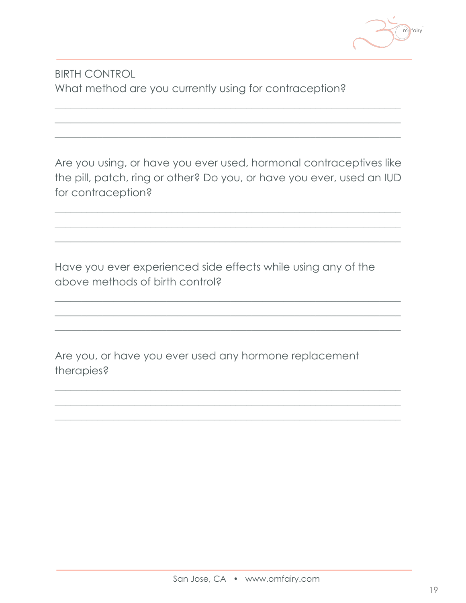

#### **BIRTH CONTROL** What method are you currently using for contraception?

Are you using, or have you ever used, hormonal contraceptives like the pill, patch, ring or other? Do you, or have you ever, used an IUD for contraception?

Have you ever experienced side effects while using any of the above methods of birth control?

Are you, or have you ever used any hormone replacement therapies?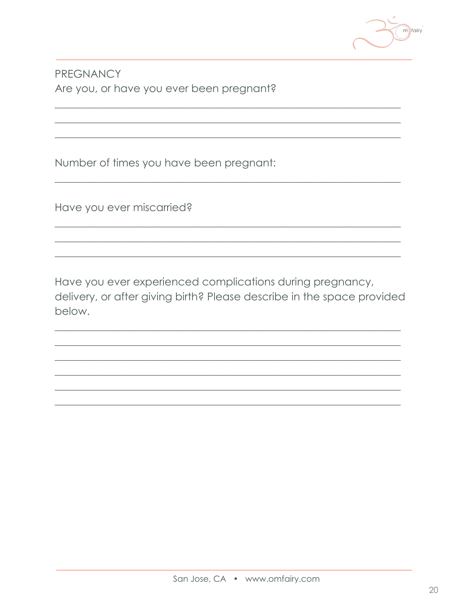

PREGNANCY Are you, or have you ever been pregnant?

Number of times you have been pregnant:

Have you ever miscarried?

Have you ever experienced complications during pregnancy, delivery, or after giving birth? Please describe in the space provided below.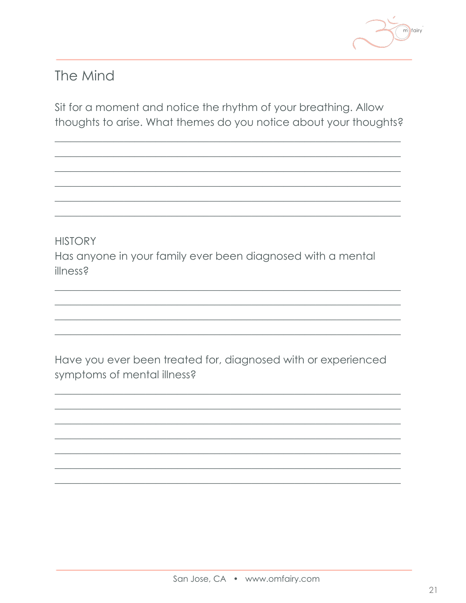

## The Mind

Sit for a moment and notice the rhythm of your breathing. Allow thoughts to arise. What themes do you notice about your thoughts?

**HISTORY** Has anyone in your family ever been diagnosed with a mental illness?

Have you ever been treated for, diagnosed with or experienced symptoms of mental illness?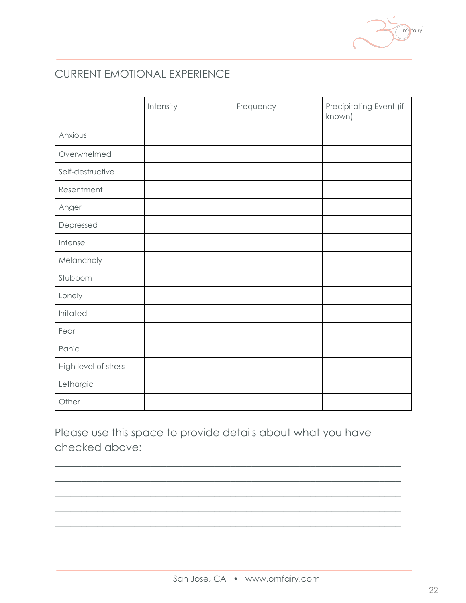#### CURRENT EMOTIONAL EXPERIENCE

|                      | Intensity | Frequency | Precipitating Event (if<br>known) |
|----------------------|-----------|-----------|-----------------------------------|
| Anxious              |           |           |                                   |
| Overwhelmed          |           |           |                                   |
| Self-destructive     |           |           |                                   |
| Resentment           |           |           |                                   |
| Anger                |           |           |                                   |
| Depressed            |           |           |                                   |
| Intense              |           |           |                                   |
| Melancholy           |           |           |                                   |
| Stubborn             |           |           |                                   |
| Lonely               |           |           |                                   |
| Irritated            |           |           |                                   |
| Fear                 |           |           |                                   |
| Panic                |           |           |                                   |
| High level of stress |           |           |                                   |
| Lethargic            |           |           |                                   |
| Other                |           |           |                                   |

Please use this space to provide details about what you have checked above:

 $\frac{1}{2}$  , and the set of the set of the set of the set of the set of the set of the set of the set of the set of the set of the set of the set of the set of the set of the set of the set of the set of the set of the set  $\frac{1}{2}$  , and the set of the set of the set of the set of the set of the set of the set of the set of the set of the set of the set of the set of the set of the set of the set of the set of the set of the set of the set  $\frac{1}{2}$  , and the set of the set of the set of the set of the set of the set of the set of the set of the set of the set of the set of the set of the set of the set of the set of the set of the set of the set of the set  $\frac{1}{2}$  , and the set of the set of the set of the set of the set of the set of the set of the set of the set of the set of the set of the set of the set of the set of the set of the set of the set of the set of the set  $\frac{1}{2}$  , and the set of the set of the set of the set of the set of the set of the set of the set of the set of the set of the set of the set of the set of the set of the set of the set of the set of the set of the set  $\frac{1}{2}$  , and the set of the set of the set of the set of the set of the set of the set of the set of the set of the set of the set of the set of the set of the set of the set of the set of the set of the set of the set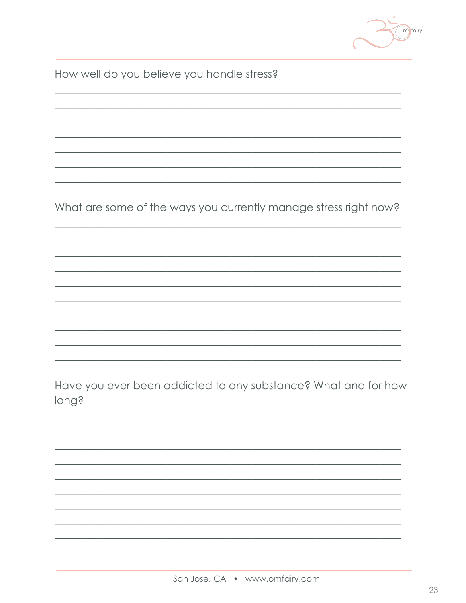

How well do you believe you handle stress?

What are some of the ways you currently manage stress right now?

Have you ever been addicted to any substance? What and for how long?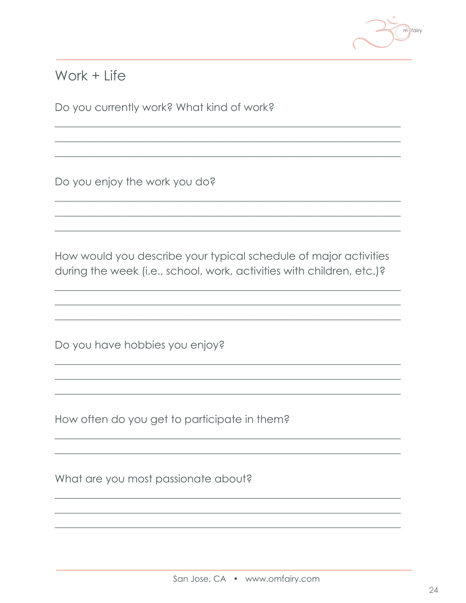

### Work  $+$  Life

Do you currently work? What kind of work?

Do you enjoy the work you do?

How would you describe your typical schedule of major activities during the week (i.e., school, work, activities with children, etc.)?

Do you have hobbies you enjoy?

How often do you get to participate in them?

What are you most passionate about?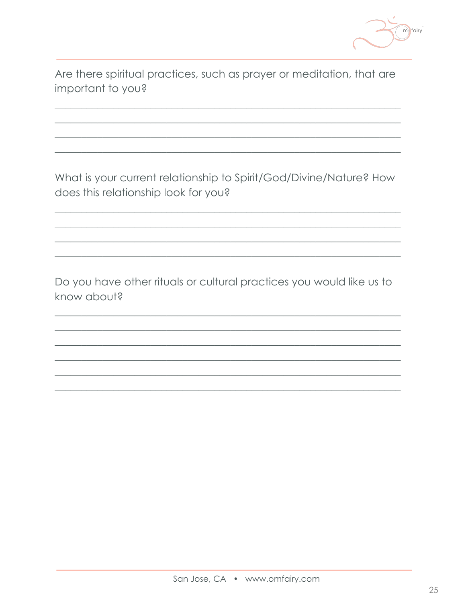

Are there spiritual practices, such as prayer or meditation, that are important to you?

What is your current relationship to Spirit/God/Divine/Nature? How does this relationship look for you?

Do you have other rituals or cultural practices you would like us to know about?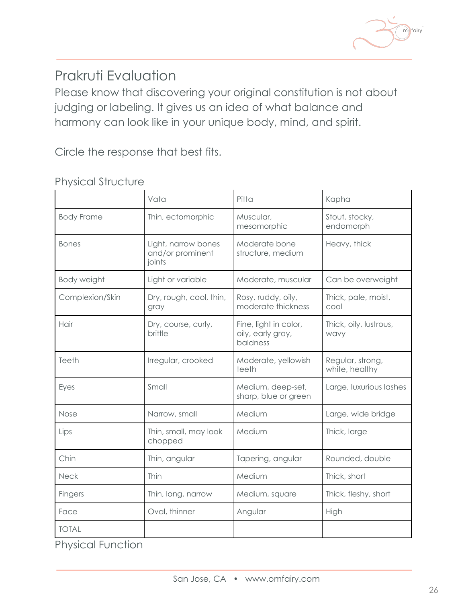

# Prakruti Evaluation

Please know that discovering your original constitution is not about judging or labeling. It gives us an idea of what balance and harmony can look like in your unique body, mind, and spirit.

Circle the response that best fits.

|                          | Vata                                              | Pitta                                                  | Kapha                              |
|--------------------------|---------------------------------------------------|--------------------------------------------------------|------------------------------------|
| <b>Body Frame</b>        | Thin, ectomorphic                                 | Muscular,<br>mesomorphic                               | Stout, stocky,<br>endomorph        |
| <b>Bones</b>             | Light, narrow bones<br>and/or prominent<br>joints | Moderate bone<br>structure, medium                     | Heavy, thick                       |
| Body weight              | Light or variable                                 | Moderate, muscular                                     | Can be overweight                  |
| Complexion/Skin          | Dry, rough, cool, thin,<br>gray                   | Rosy, ruddy, oily,<br>moderate thickness               | Thick, pale, moist,<br>cool        |
| Hair                     | Dry, course, curly,<br>brittle                    | Fine, light in color,<br>oily, early gray,<br>baldness | Thick, oily, lustrous,<br>wavy     |
| Teeth                    | Irregular, crooked                                | Moderate, yellowish<br>teeth                           | Regular, strong,<br>white, healthy |
| Eyes                     | Small                                             | Medium, deep-set,<br>sharp, blue or green              | Large, luxurious lashes            |
| Nose                     | Narrow, small                                     | Medium                                                 | Large, wide bridge                 |
| Lips                     | Thin, small, may look<br>chopped                  | Medium                                                 | Thick, large                       |
| Chin                     | Thin, angular                                     | Tapering, angular                                      | Rounded, double                    |
| <b>Neck</b>              | Thin                                              | Medium                                                 | Thick, short                       |
| <b>Fingers</b>           | Thin, long, narrow                                | Medium, square                                         | Thick, fleshy, short               |
| Face                     | Oval, thinner                                     | Angular                                                | High                               |
| <b>TOTAL</b>             |                                                   |                                                        |                                    |
| <b>Physical Function</b> |                                                   |                                                        |                                    |

#### Physical Structure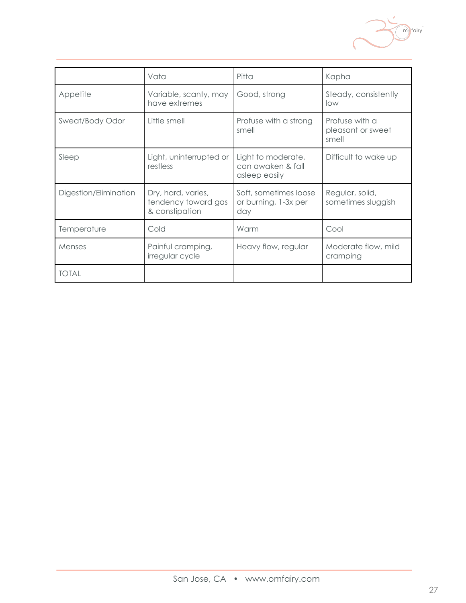

|                       | Vata                                                        | Pitta                                                    | Kapha                                        |
|-----------------------|-------------------------------------------------------------|----------------------------------------------------------|----------------------------------------------|
| Appetite              | Variable, scanty, may<br>have extremes                      | Good, strong                                             | Steady, consistently<br>low                  |
| Sweat/Body Odor       | Little smell                                                | Profuse with a strong<br>smell                           | Profuse with a<br>pleasant or sweet<br>smell |
| Sleep                 | Light, uninterrupted or<br>restless                         | Light to moderate,<br>can awaken & fall<br>asleep easily | Difficult to wake up                         |
| Digestion/Elimination | Dry, hard, varies,<br>tendency toward gas<br>& constipation | Soft, sometimes loose<br>or burning, 1-3x per<br>day     | Regular, solid,<br>sometimes sluggish        |
| Temperature           | Cold                                                        | Warm                                                     | Cool                                         |
| Menses                | Painful cramping,<br>irregular cycle                        | Heavy flow, regular                                      | Moderate flow, mild<br>cramping              |
| <b>TOTAL</b>          |                                                             |                                                          |                                              |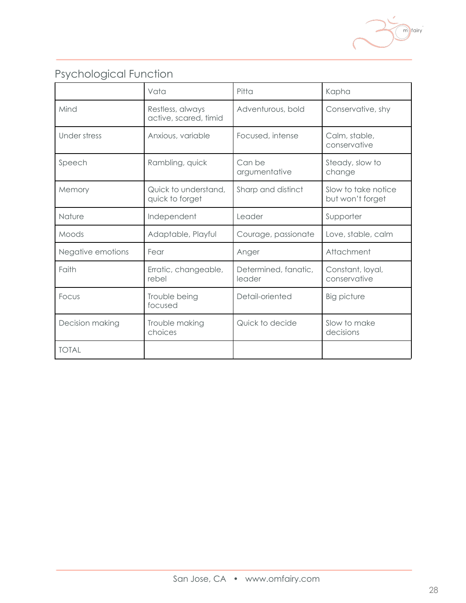

## Psychological Function

|                   | Vata                                      | $P$ itta                       | Kapha                                   |
|-------------------|-------------------------------------------|--------------------------------|-----------------------------------------|
| Mind              | Restless, always<br>active, scared, timid | Adventurous, bold              | Conservative, shy                       |
| Under stress      | Anxious, variable                         | Focused, intense               | Calm, stable,<br>conservative           |
| Speech            | Rambling, quick                           | Can be<br>argumentative        | Steady, slow to<br>change               |
| Memory            | Quick to understand,<br>quick to forget   | Sharp and distinct             | Slow to take notice<br>but won't forget |
| Nature            | Independent                               | Leader                         | Supporter                               |
| Moods             | Adaptable, Playful                        | Courage, passionate            | Love, stable, calm                      |
| Negative emotions | Fear                                      | Anger                          | Attachment                              |
| Faith             | Erratic, changeable,<br>rebel             | Determined, fanatic,<br>leader | Constant, loyal,<br>conservative        |
| Focus             | Trouble being<br>focused                  | Detail-oriented                | <b>Big picture</b>                      |
| Decision making   | Trouble making<br>choices                 | Quick to decide                | Slow to make<br>decisions               |
| <b>TOTAL</b>      |                                           |                                |                                         |